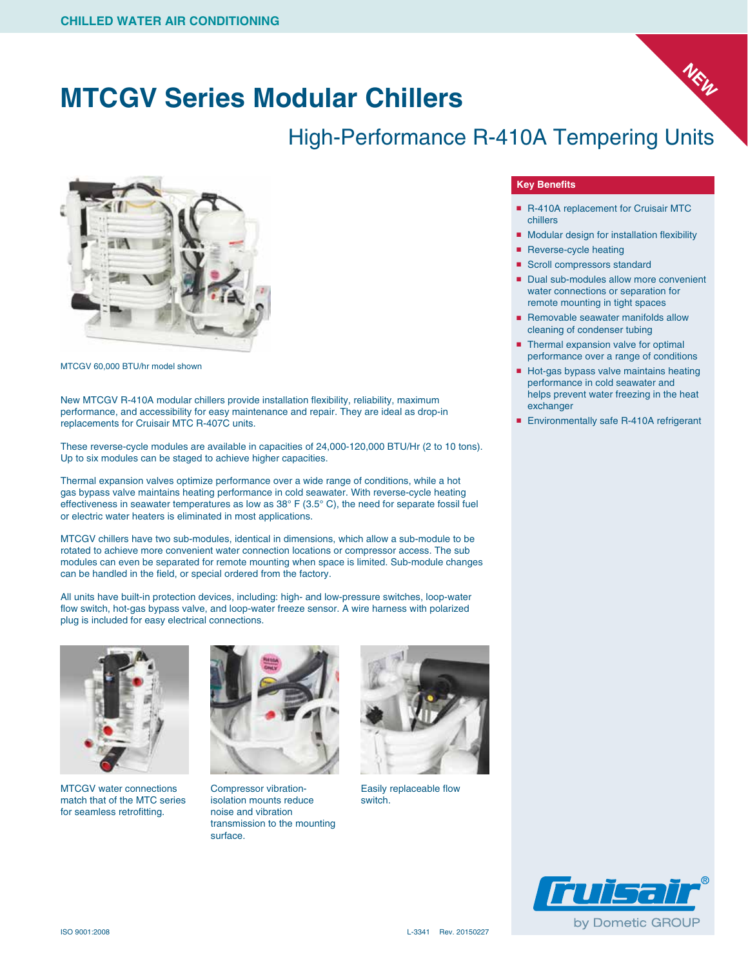### **MTCGV Series Modular Chillers**

### High-Performance R-410A Tempering Units



MTCGV 60,000 BTU/hr model shown

New MTCGV R-410A modular chillers provide installation flexibility, reliability, maximum performance, and accessibility for easy maintenance and repair. They are ideal as drop-in replacements for Cruisair MTC R-407C units.

These reverse-cycle modules are available in capacities of 24,000-120,000 BTU/Hr (2 to 10 tons). Up to six modules can be staged to achieve higher capacities.

Thermal expansion valves optimize performance over a wide range of conditions, while a hot gas bypass valve maintains heating performance in cold seawater. With reverse-cycle heating effectiveness in seawater temperatures as low as 38° F (3.5° C), the need for separate fossil fuel or electric water heaters is eliminated in most applications.

MTCGV chillers have two sub-modules, identical in dimensions, which allow a sub-module to be rotated to achieve more convenient water connection locations or compressor access. The sub modules can even be separated for remote mounting when space is limited. Sub-module changes can be handled in the field, or special ordered from the factory.

All units have built-in protection devices, including: high- and low-pressure switches, loop-water flow switch, hot-gas bypass valve, and loop-water freeze sensor. A wire harness with polarized plug is included for easy electrical connections.



MTCGV water connections match that of the MTC series for seamless retrofitting.



Compressor vibrationisolation mounts reduce noise and vibration transmission to the mounting surface.



Easily replaceable flow switch.

#### **Key Benefits**

- R-410A replacement for Cruisair MTC chillers
- Modular design for installation flexibility

**NEW**

- Reverse-cycle heating
- Scroll compressors standard
- Dual sub-modules allow more convenient water connections or separation for remote mounting in tight spaces
- Removable seawater manifolds allow cleaning of condenser tubing
- Thermal expansion valve for optimal performance over a range of conditions
- Hot-gas bypass valve maintains heating performance in cold seawater and helps prevent water freezing in the heat exchanger
- Environmentally safe R-410A refrigerant